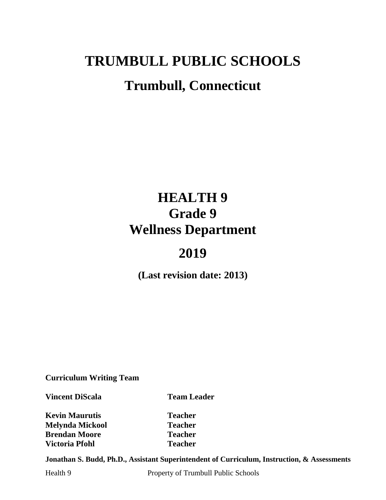# **TRUMBULL PUBLIC SCHOOLS Trumbull, Connecticut**

## **HEALTH 9 Grade 9 Wellness Department**

## **2019**

**(Last revision date: 2013)**

**Curriculum Writing Team**

**Vincent DiScala Team Leader** 

**Kevin Maurutis Teacher Melynda Mickool Teacher Brendan Moore Teacher Victoria Pfohl Teacher**

**Jonathan S. Budd, Ph.D., Assistant Superintendent of Curriculum, Instruction, & Assessments**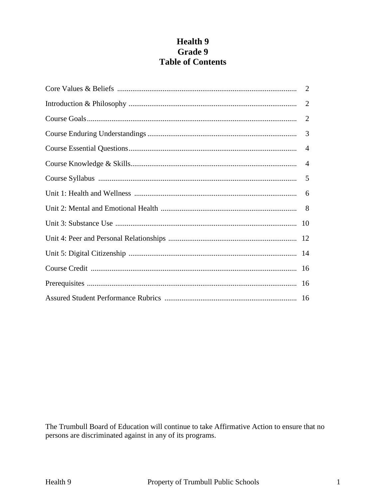## **Health 9** Grade 9 **Table of Contents**

| 2              |
|----------------|
| $\overline{2}$ |
| 3              |
| $\overline{4}$ |
| $\overline{4}$ |
|                |
|                |
|                |
|                |
|                |
|                |
|                |
|                |
|                |

The Trumbull Board of Education will continue to take Affirmative Action to ensure that no persons are discriminated against in any of its programs.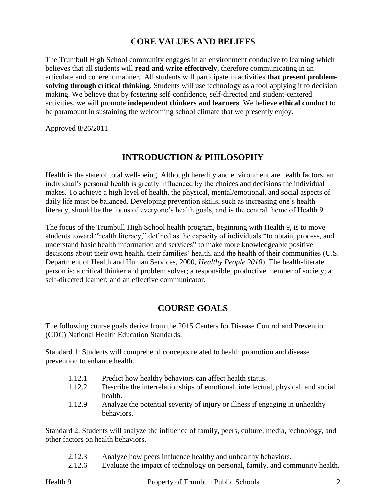## **CORE VALUES AND BELIEFS**

The Trumbull High School community engages in an environment conducive to learning which believes that all students will **read and write effectively**, therefore communicating in an articulate and coherent manner. All students will participate in activities **that present problemsolving through critical thinking**. Students will use technology as a tool applying it to decision making. We believe that by fostering self-confidence, self-directed and student-centered activities, we will promote **independent thinkers and learners**. We believe **ethical conduct** to be paramount in sustaining the welcoming school climate that we presently enjoy.

Approved 8/26/2011

## **INTRODUCTION & PHILOSOPHY**

Health is the state of total well-being. Although heredity and environment are health factors, an individual's personal health is greatly influenced by the choices and decisions the individual makes. To achieve a high level of health, the physical, mental/emotional, and social aspects of daily life must be balanced. Developing prevention skills, such as increasing one's health literacy, should be the focus of everyone's health goals, and is the central theme of Health 9.

The focus of the Trumbull High School health program, beginning with Health 9, is to move students toward "health literacy," defined as the capacity of individuals "to obtain, process, and understand basic health information and services" to make more knowledgeable positive decisions about their own health, their families' health, and the health of their communities (U.S. Department of Health and Human Services, 2000, *Healthy People 2010*). The health-literate person is: a critical thinker and problem solver; a responsible, productive member of society; a self-directed learner; and an effective communicator.

## **COURSE GOALS**

The following course goals derive from the 2015 Centers for Disease Control and Prevention (CDC) National Health Education Standards.

Standard 1: Students will comprehend concepts related to health promotion and disease prevention to enhance health.

- 1.12.1 Predict how healthy behaviors can affect health status.
- 1.12.2 Describe the interrelationships of emotional, intellectual, physical, and social health.
- 1.12.9 Analyze the potential severity of injury or illness if engaging in unhealthy behaviors.

Standard 2: Students will analyze the influence of family, peers, culture, media, technology, and other factors on health behaviors.

- 2.12.3 Analyze how peers influence healthy and unhealthy behaviors.
- 2.12.6 Evaluate the impact of technology on personal, family, and community health.

Health 9 Property of Trumbull Public Schools 2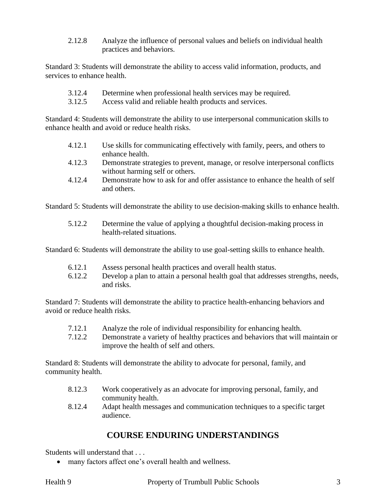2.12.8 Analyze the influence of personal values and beliefs on individual health practices and behaviors.

Standard 3: Students will demonstrate the ability to access valid information, products, and services to enhance health.

- 3.12.4 Determine when professional health services may be required.
- 3.12.5 Access valid and reliable health products and services.

Standard 4: Students will demonstrate the ability to use interpersonal communication skills to enhance health and avoid or reduce health risks.

- 4.12.1 Use skills for communicating effectively with family, peers, and others to enhance health.
- 4.12.3 Demonstrate strategies to prevent, manage, or resolve interpersonal conflicts without harming self or others.
- 4.12.4 Demonstrate how to ask for and offer assistance to enhance the health of self and others.

Standard 5: Students will demonstrate the ability to use decision-making skills to enhance health.

5.12.2 Determine the value of applying a thoughtful decision-making process in health-related situations.

Standard 6: Students will demonstrate the ability to use goal-setting skills to enhance health.

- 6.12.1 Assess personal health practices and overall health status.
- 6.12.2 Develop a plan to attain a personal health goal that addresses strengths, needs, and risks.

Standard 7: Students will demonstrate the ability to practice health-enhancing behaviors and avoid or reduce health risks.

- 7.12.1 Analyze the role of individual responsibility for enhancing health.
- 7.12.2 Demonstrate a variety of healthy practices and behaviors that will maintain or improve the health of self and others.

Standard 8: Students will demonstrate the ability to advocate for personal, family, and community health.

- 8.12.3 Work cooperatively as an advocate for improving personal, family, and community health.
- 8.12.4 Adapt health messages and communication techniques to a specific target audience.

## **COURSE ENDURING UNDERSTANDINGS**

Students will understand that . . .

many factors affect one's overall health and wellness.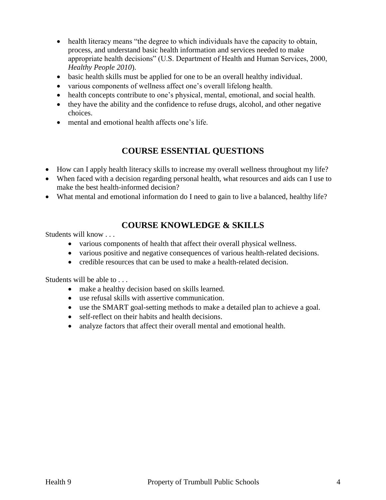- health literacy means "the degree to which individuals have the capacity to obtain, process, and understand basic health information and services needed to make appropriate health decisions" (U.S. Department of Health and Human Services, 2000, *Healthy People 2010*).
- basic health skills must be applied for one to be an overall healthy individual.
- various components of wellness affect one's overall lifelong health.
- health concepts contribute to one's physical, mental, emotional, and social health.
- they have the ability and the confidence to refuse drugs, alcohol, and other negative choices.
- mental and emotional health affects one's life.

## **COURSE ESSENTIAL QUESTIONS**

- How can I apply health literacy skills to increase my overall wellness throughout my life?
- When faced with a decision regarding personal health, what resources and aids can I use to make the best health-informed decision?
- What mental and emotional information do I need to gain to live a balanced, healthy life?

## **COURSE KNOWLEDGE & SKILLS**

Students will know . . .

- various components of health that affect their overall physical wellness.
- various positive and negative consequences of various health-related decisions.
- credible resources that can be used to make a health-related decision.

Students will be able to . . .

- make a healthy decision based on skills learned.
- use refusal skills with assertive communication.
- use the SMART goal-setting methods to make a detailed plan to achieve a goal.
- self-reflect on their habits and health decisions.
- analyze factors that affect their overall mental and emotional health.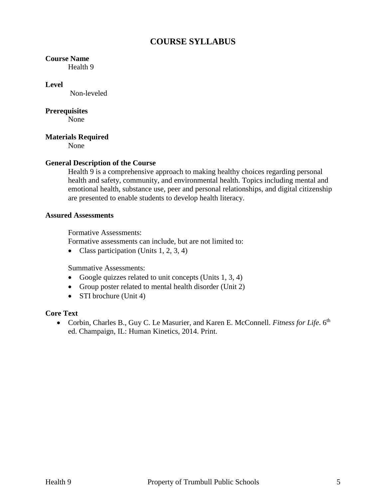## **COURSE SYLLABUS**

#### **Course Name**

Health 9

#### **Level**

Non-leveled

#### **Prerequisites**

None

#### **Materials Required**

None

#### **General Description of the Course**

Health 9 is a comprehensive approach to making healthy choices regarding personal health and safety, community, and environmental health. Topics including mental and emotional health, substance use, peer and personal relationships, and digital citizenship are presented to enable students to develop health literacy.

#### **Assured Assessments**

Formative Assessments:

Formative assessments can include, but are not limited to:

• Class participation (Units  $1, 2, 3, 4$ )

Summative Assessments:

- Google quizzes related to unit concepts (Units  $1, 3, 4$ )
- Group poster related to mental health disorder (Unit 2)
- STI brochure (Unit 4)

#### **Core Text**

• Corbin, Charles B., Guy C. Le Masurier, and Karen E. McConnell. *Fitness for Life*. 6<sup>th</sup> ed. Champaign, IL: Human Kinetics, 2014. Print.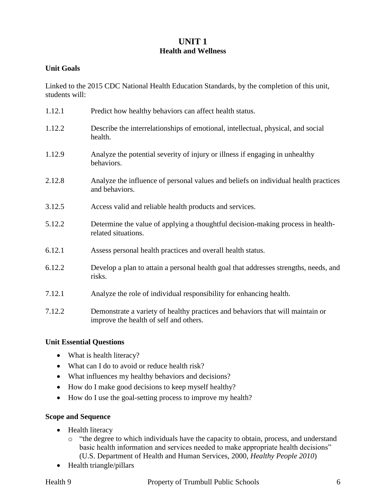### **UNIT 1 Health and Wellness**

#### **Unit Goals**

Linked to the 2015 CDC National Health Education Standards, by the completion of this unit, students will:

| 1.12.1 | Predict how healthy behaviors can affect health status.                                                                  |
|--------|--------------------------------------------------------------------------------------------------------------------------|
| 1.12.2 | Describe the interrelationships of emotional, intellectual, physical, and social<br>health.                              |
| 1.12.9 | Analyze the potential severity of injury or illness if engaging in unhealthy<br>behaviors.                               |
| 2.12.8 | Analyze the influence of personal values and beliefs on individual health practices<br>and behaviors.                    |
| 3.12.5 | Access valid and reliable health products and services.                                                                  |
| 5.12.2 | Determine the value of applying a thoughtful decision-making process in health-<br>related situations.                   |
| 6.12.1 | Assess personal health practices and overall health status.                                                              |
| 6.12.2 | Develop a plan to attain a personal health goal that addresses strengths, needs, and<br>risks.                           |
| 7.12.1 | Analyze the role of individual responsibility for enhancing health.                                                      |
| 7.12.2 | Demonstrate a variety of healthy practices and behaviors that will maintain or<br>improve the health of self and others. |

#### **Unit Essential Questions**

- What is health literacy?
- What can I do to avoid or reduce health risk?
- What influences my healthy behaviors and decisions?
- How do I make good decisions to keep myself healthy?
- How do I use the goal-setting process to improve my health?

#### **Scope and Sequence**

- Health literacy
	- o "the degree to which individuals have the capacity to obtain, process, and understand basic health information and services needed to make appropriate health decisions" (U.S. Department of Health and Human Services, 2000, *Healthy People 2010*)
- Health triangle/pillars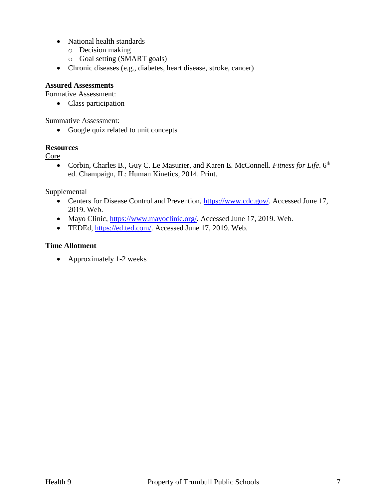- National health standards
	- o Decision making
	- o Goal setting (SMART goals)
- Chronic diseases (e.g., diabetes, heart disease, stroke, cancer)

#### **Assured Assessments**

Formative Assessment:

• Class participation

Summative Assessment:

• Google quiz related to unit concepts

#### **Resources**

Core

• Corbin, Charles B., Guy C. Le Masurier, and Karen E. McConnell. *Fitness for Life*. 6<sup>th</sup> ed. Champaign, IL: Human Kinetics, 2014. Print.

#### **Supplemental**

- Centers for Disease Control and Prevention, [https://www.cdc.gov/.](https://www.cdc.gov/) Accessed June 17, 2019. Web.
- Mayo Clinic, [https://www.mayoclinic.org/.](https://www.mayoclinic.org/) Accessed June 17, 2019. Web.
- TEDEd, [https://ed.ted.com/.](https://ed.ted.com/) Accessed June 17, 2019. Web.

#### **Time Allotment**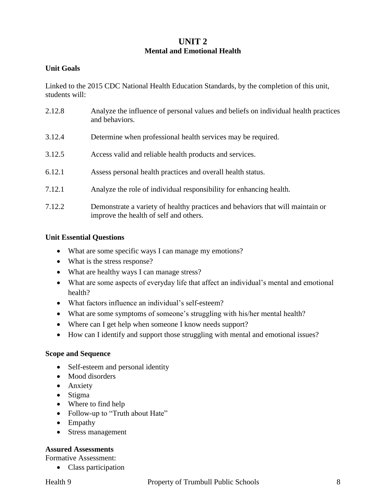#### **UNIT 2 Mental and Emotional Health**

#### **Unit Goals**

Linked to the 2015 CDC National Health Education Standards, by the completion of this unit, students will:

2.12.8 Analyze the influence of personal values and beliefs on individual health practices and behaviors. 3.12.4 Determine when professional health services may be required. 3.12.5 Access valid and reliable health products and services. 6.12.1 Assess personal health practices and overall health status. 7.12.1 Analyze the role of individual responsibility for enhancing health. 7.12.2 Demonstrate a variety of healthy practices and behaviors that will maintain or improve the health of self and others.

#### **Unit Essential Questions**

- What are some specific ways I can manage my emotions?
- What is the stress response?
- What are healthy ways I can manage stress?
- What are some aspects of everyday life that affect an individual's mental and emotional health?
- What factors influence an individual's self-esteem?
- What are some symptoms of someone's struggling with his/her mental health?
- Where can I get help when someone I know needs support?
- How can I identify and support those struggling with mental and emotional issues?

#### **Scope and Sequence**

- Self-esteem and personal identity
- Mood disorders
- Anxiety
- Stigma
- Where to find help
- Follow-up to "Truth about Hate"
- Empathy
- Stress management

#### **Assured Assessments**

Formative Assessment:

• Class participation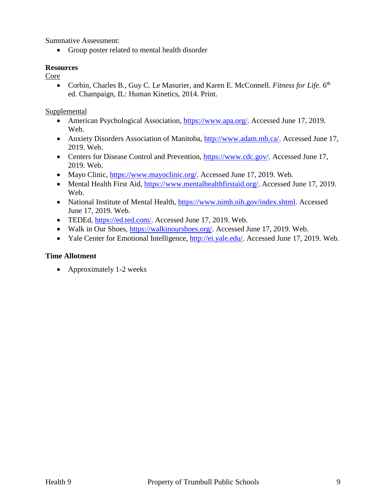Summative Assessment:

• Group poster related to mental health disorder

#### **Resources**

Core

• Corbin, Charles B., Guy C. Le Masurier, and Karen E. McConnell. *Fitness for Life*. 6<sup>th</sup> ed. Champaign, IL: Human Kinetics, 2014. Print.

Supplemental

- American Psychological Association, [https://www.apa.org/.](https://www.apa.org/) Accessed June 17, 2019. Web.
- Anxiety Disorders Association of Manitoba, [http://www.adam.mb.ca/.](http://www.adam.mb.ca/) Accessed June 17, 2019. Web.
- Centers for Disease Control and Prevention, [https://www.cdc.gov/.](https://www.cdc.gov/) Accessed June 17, 2019. Web.
- Mayo Clinic, [https://www.mayoclinic.org/.](https://www.mayoclinic.org/) Accessed June 17, 2019. Web.
- Mental Health First Aid, [https://www.mentalhealthfirstaid.org/.](https://www.mentalhealthfirstaid.org/) Accessed June 17, 2019. Web.
- National Institute of Mental Health, [https://www.nimh.nih.gov/index.shtml.](https://www.nimh.nih.gov/index.shtml) Accessed June 17, 2019. Web.
- TEDEd, [https://ed.ted.com/.](https://ed.ted.com/) Accessed June 17, 2019. Web.
- Walk in Our Shoes, [https://walkinourshoes.org/.](https://walkinourshoes.org/) Accessed June 17, 2019. Web.
- Yale Center for Emotional Intelligence, [http://ei.yale.edu/.](http://ei.yale.edu/) Accessed June 17, 2019. Web.

#### **Time Allotment**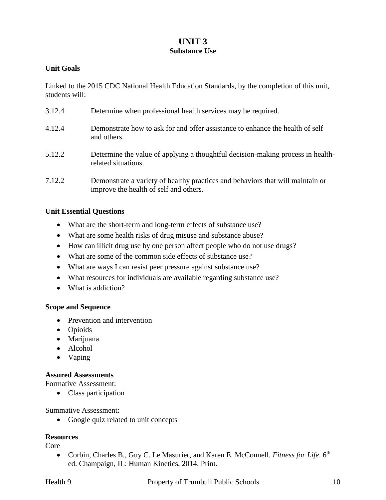### **UNIT 3 Substance Use**

#### **Unit Goals**

Linked to the 2015 CDC National Health Education Standards, by the completion of this unit, students will:

| 3.12.4 | Determine when professional health services may be required.                                                             |
|--------|--------------------------------------------------------------------------------------------------------------------------|
| 4.12.4 | Demonstrate how to ask for and offer assistance to enhance the health of self<br>and others.                             |
| 5.12.2 | Determine the value of applying a thoughtful decision-making process in health-<br>related situations.                   |
| 7.12.2 | Demonstrate a variety of healthy practices and behaviors that will maintain or<br>improve the health of self and others. |

#### **Unit Essential Questions**

- What are the short-term and long-term effects of substance use?
- What are some health risks of drug misuse and substance abuse?
- How can illicit drug use by one person affect people who do not use drugs?
- What are some of the common side effects of substance use?
- What are ways I can resist peer pressure against substance use?
- What resources for individuals are available regarding substance use?
- What is addiction?

#### **Scope and Sequence**

- Prevention and intervention
- Opioids
- Marijuana
- Alcohol
- Vaping

#### **Assured Assessments**

Formative Assessment:

• Class participation

#### Summative Assessment:

• Google quiz related to unit concepts

#### **Resources**

Core

• Corbin, Charles B., Guy C. Le Masurier, and Karen E. McConnell. *Fitness for Life*. 6<sup>th</sup> ed. Champaign, IL: Human Kinetics, 2014. Print.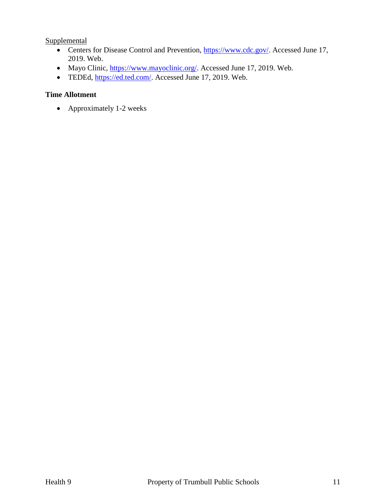**Supplemental** 

- Centers for Disease Control and Prevention, [https://www.cdc.gov/.](https://www.cdc.gov/) Accessed June 17, 2019. Web.
- Mayo Clinic, [https://www.mayoclinic.org/.](https://www.mayoclinic.org/) Accessed June 17, 2019. Web.
- TEDEd, [https://ed.ted.com/.](https://ed.ted.com/) Accessed June 17, 2019. Web.

#### **Time Allotment**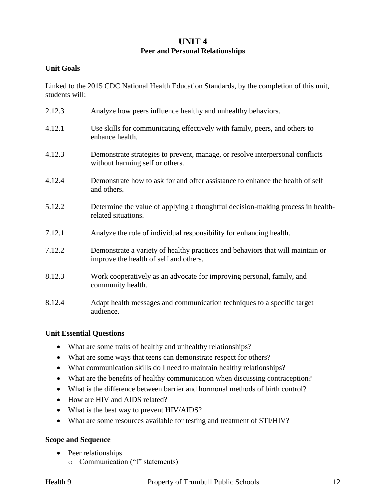#### **UNIT 4 Peer and Personal Relationships**

#### **Unit Goals**

Linked to the 2015 CDC National Health Education Standards, by the completion of this unit, students will:

| 2.12.3 | Analyze how peers influence healthy and unhealthy behaviors.                                                             |
|--------|--------------------------------------------------------------------------------------------------------------------------|
| 4.12.1 | Use skills for communicating effectively with family, peers, and others to<br>enhance health.                            |
| 4.12.3 | Demonstrate strategies to prevent, manage, or resolve interpersonal conflicts<br>without harming self or others.         |
| 4.12.4 | Demonstrate how to ask for and offer assistance to enhance the health of self<br>and others.                             |
| 5.12.2 | Determine the value of applying a thoughtful decision-making process in health-<br>related situations.                   |
| 7.12.1 | Analyze the role of individual responsibility for enhancing health.                                                      |
| 7.12.2 | Demonstrate a variety of healthy practices and behaviors that will maintain or<br>improve the health of self and others. |
| 8.12.3 | Work cooperatively as an advocate for improving personal, family, and<br>community health.                               |
| 8.12.4 | Adapt health messages and communication techniques to a specific target<br>audience.                                     |

#### **Unit Essential Questions**

- What are some traits of healthy and unhealthy relationships?
- What are some ways that teens can demonstrate respect for others?
- What communication skills do I need to maintain healthy relationships?
- What are the benefits of healthy communication when discussing contraception?
- What is the difference between barrier and hormonal methods of birth control?
- How are HIV and AIDS related?
- What is the best way to prevent HIV/AIDS?
- What are some resources available for testing and treatment of STI/HIV?

#### **Scope and Sequence**

- Peer relationships
	- o Communication ("I" statements)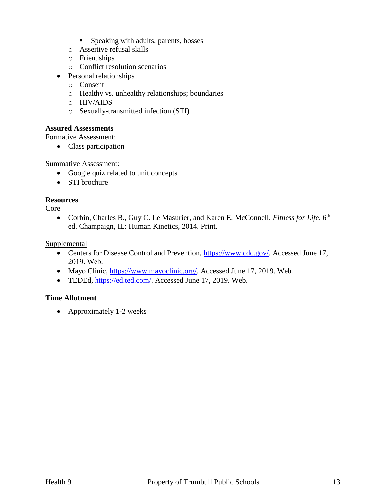- **Speaking with adults, parents, bosses**
- o Assertive refusal skills
- o Friendships
- o Conflict resolution scenarios
- Personal relationships
	- o Consent
	- o Healthy vs. unhealthy relationships; boundaries
	- o HIV/AIDS
	- o Sexually-transmitted infection (STI)

#### **Assured Assessments**

Formative Assessment:

• Class participation

Summative Assessment:

- Google quiz related to unit concepts
- STI brochure

#### **Resources**

Core

• Corbin, Charles B., Guy C. Le Masurier, and Karen E. McConnell. *Fitness for Life*. 6<sup>th</sup> ed. Champaign, IL: Human Kinetics, 2014. Print.

Supplemental

- Centers for Disease Control and Prevention, [https://www.cdc.gov/.](https://www.cdc.gov/) Accessed June 17, 2019. Web.
- Mayo Clinic, [https://www.mayoclinic.org/.](https://www.mayoclinic.org/) Accessed June 17, 2019. Web.
- TEDEd, [https://ed.ted.com/.](https://ed.ted.com/) Accessed June 17, 2019. Web.

#### **Time Allotment**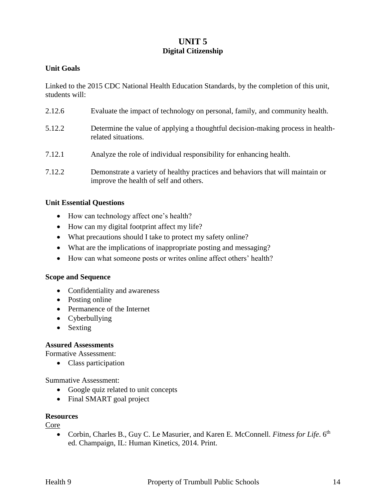### **UNIT 5 Digital Citizenship**

#### **Unit Goals**

Linked to the 2015 CDC National Health Education Standards, by the completion of this unit, students will:

2.12.6 Evaluate the impact of technology on personal, family, and community health. 5.12.2 Determine the value of applying a thoughtful decision-making process in healthrelated situations. 7.12.1 Analyze the role of individual responsibility for enhancing health. 7.12.2 Demonstrate a variety of healthy practices and behaviors that will maintain or improve the health of self and others.

#### **Unit Essential Questions**

- How can technology affect one's health?
- How can my digital footprint affect my life?
- What precautions should I take to protect my safety online?
- What are the implications of inappropriate posting and messaging?
- How can what someone posts or writes online affect others' health?

#### **Scope and Sequence**

- Confidentiality and awareness
- Posting online
- Permanence of the Internet
- Cyberbullying
- Sexting

#### **Assured Assessments**

Formative Assessment:

• Class participation

Summative Assessment:

- Google quiz related to unit concepts
- Final SMART goal project

#### **Resources**

Core

• Corbin, Charles B., Guy C. Le Masurier, and Karen E. McConnell. *Fitness for Life*. 6<sup>th</sup> ed. Champaign, IL: Human Kinetics, 2014. Print.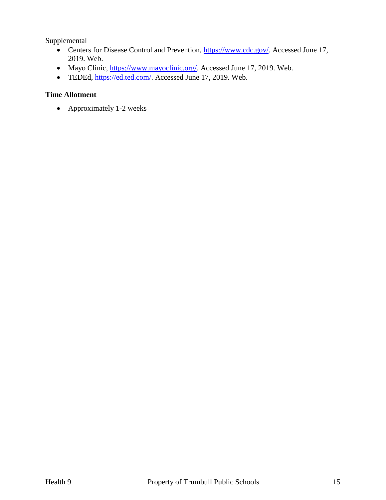**Supplemental** 

- Centers for Disease Control and Prevention, [https://www.cdc.gov/.](https://www.cdc.gov/) Accessed June 17, 2019. Web.
- Mayo Clinic, [https://www.mayoclinic.org/.](https://www.mayoclinic.org/) Accessed June 17, 2019. Web.
- TEDEd, [https://ed.ted.com/.](https://ed.ted.com/) Accessed June 17, 2019. Web.

#### **Time Allotment**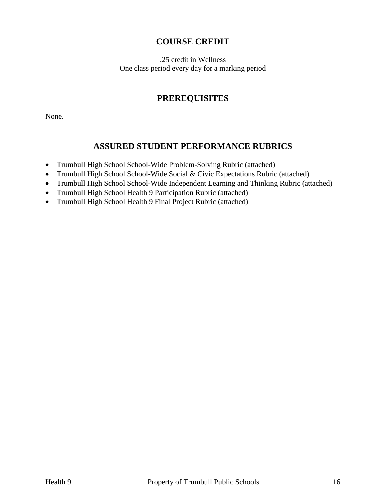## **COURSE CREDIT**

.25 credit in Wellness One class period every day for a marking period

## **PREREQUISITES**

None.

## **ASSURED STUDENT PERFORMANCE RUBRICS**

- Trumbull High School School-Wide Problem-Solving Rubric (attached)
- Trumbull High School School-Wide Social & Civic Expectations Rubric (attached)
- Trumbull High School School-Wide Independent Learning and Thinking Rubric (attached)
- Trumbull High School Health 9 Participation Rubric (attached)
- Trumbull High School Health 9 Final Project Rubric (attached)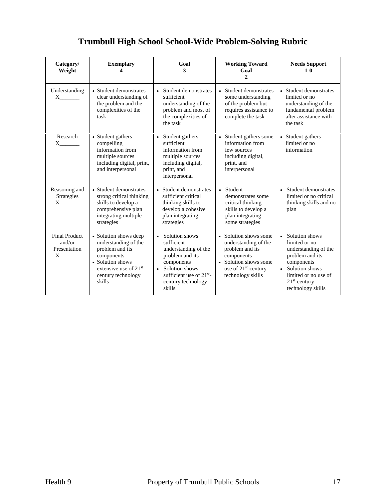| Category/<br>Weight                                                         | <b>Exemplary</b>                                                                                                                                                          | Goal<br>3                                                                                                                                                                                      | <b>Working Toward</b><br>Goal<br>$\overline{c}$                                                                                                                  | <b>Needs Support</b><br>$1-0$                                                                                                                                                  |
|-----------------------------------------------------------------------------|---------------------------------------------------------------------------------------------------------------------------------------------------------------------------|------------------------------------------------------------------------------------------------------------------------------------------------------------------------------------------------|------------------------------------------------------------------------------------------------------------------------------------------------------------------|--------------------------------------------------------------------------------------------------------------------------------------------------------------------------------|
| Understanding<br>$X \sim$                                                   | • Student demonstrates<br>clear understanding of<br>the problem and the<br>complexities of the<br>task                                                                    | • Student demonstrates<br>sufficient<br>understanding of the<br>problem and most of<br>the complexities of<br>the task                                                                         | • Student demonstrates<br>some understanding<br>of the problem but<br>requires assistance to<br>complete the task                                                | • Student demonstrates<br>limited or no<br>understanding of the<br>fundamental problem<br>after assistance with<br>the task                                                    |
| Research<br>$\mathbf{X}$                                                    | • Student gathers<br>compelling<br>information from<br>multiple sources<br>including digital, print,<br>and interpersonal                                                 | • Student gathers<br>sufficient<br>information from<br>multiple sources<br>including digital,<br>print, and<br>interpersonal                                                                   | • Student gathers some<br>information from<br>few sources<br>including digital,<br>print, and<br>interpersonal                                                   | • Student gathers<br>limited or no<br>information                                                                                                                              |
| Reasoning and<br>Strategies<br>$X$ <sub>_________</sub>                     | • Student demonstrates<br>strong critical thinking<br>skills to develop a<br>comprehensive plan<br>integrating multiple<br>strategies                                     | • Student demonstrates<br>sufficient critical<br>thinking skills to<br>develop a cohesive<br>plan integrating<br>strategies                                                                    | • Student<br>demonstrates some<br>critical thinking<br>skills to develop a<br>plan integrating<br>some strategies                                                | • Student demonstrates<br>limited or no critical<br>thinking skills and no<br>plan                                                                                             |
| <b>Final Product</b><br>and/or<br>Presentation<br>$X$ <sub>__________</sub> | • Solution shows deep<br>understanding of the<br>problem and its<br>components<br>• Solution shows<br>extensive use of 21 <sup>st</sup> -<br>century technology<br>skills | • Solution shows<br>sufficient<br>understanding of the<br>problem and its<br>components<br>Solution shows<br>$\bullet$<br>sufficient use of 21 <sup>st</sup> -<br>century technology<br>skills | • Solution shows some<br>understanding of the<br>problem and its<br>components<br>• Solution shows some<br>use of 21 <sup>st</sup> -century<br>technology skills | • Solution shows<br>limited or no<br>understanding of the<br>problem and its<br>components<br>• Solution shows<br>limited or no use of<br>$21st$ -century<br>technology skills |

## **Trumbull High School School-Wide Problem-Solving Rubric**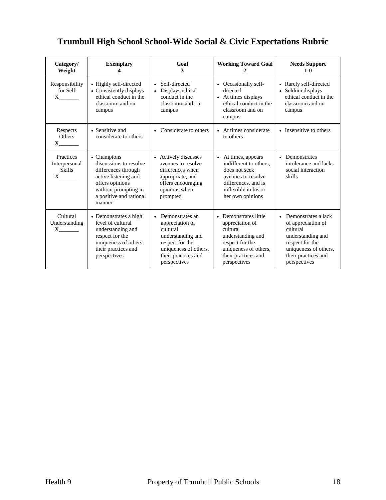## **Trumbull High School School-Wide Social & Civic Expectations Rubric**

| Category/<br>Weight                                                                                                                                                                                                                                                                                                           | <b>Exemplary</b>                                                                                                                                                     | Goal<br>3                                                                                                                                                           | <b>Working Toward Goal</b>                                                                                                                                   | <b>Needs Support</b><br>$1-0$                                                                                                                                              |
|-------------------------------------------------------------------------------------------------------------------------------------------------------------------------------------------------------------------------------------------------------------------------------------------------------------------------------|----------------------------------------------------------------------------------------------------------------------------------------------------------------------|---------------------------------------------------------------------------------------------------------------------------------------------------------------------|--------------------------------------------------------------------------------------------------------------------------------------------------------------|----------------------------------------------------------------------------------------------------------------------------------------------------------------------------|
| Responsibility<br>for Self<br>$X$ <sub>_________</sub>                                                                                                                                                                                                                                                                        | • Highly self-directed<br>• Consistently displays<br>ethical conduct in the<br>classroom and on<br>campus                                                            | • Self-directed<br>Displays ethical<br>conduct in the<br>classroom and on<br>campus                                                                                 | • Occasionally self-<br>directed<br>• At times displays<br>ethical conduct in the<br>classroom and on<br>campus                                              | • Rarely self-directed<br>• Seldom displays<br>ethical conduct in the<br>classroom and on<br>campus                                                                        |
| Respects<br><b>Others</b><br>$X \qquad \qquad$                                                                                                                                                                                                                                                                                | • Sensitive and<br>considerate to others                                                                                                                             | Considerate to others<br>$\bullet$                                                                                                                                  | • At times considerate<br>to others                                                                                                                          | • Insensitive to others                                                                                                                                                    |
| Practices<br>Interpersonal<br><b>Skills</b><br>$X \qquad \qquad$                                                                                                                                                                                                                                                              | • Champions<br>discussions to resolve<br>differences through<br>active listening and<br>offers opinions<br>without prompting in<br>a positive and rational<br>manner | • Actively discusses<br>avenues to resolve<br>differences when<br>appropriate, and<br>offers encouraging<br>opinions when<br>prompted                               | • At times, appears<br>indifferent to others.<br>does not seek<br>avenues to resolve<br>differences, and is<br>inflexible in his or<br>her own opinions      | Demonstrates<br>$\bullet$<br>intolerance and lacks<br>social interaction<br>skills                                                                                         |
| Cultural<br>Understanding<br>$\mathbf{X}$ and $\mathbf{X}$ and $\mathbf{X}$ and $\mathbf{X}$ and $\mathbf{X}$ are $\mathbf{X}$ and $\mathbf{X}$ and $\mathbf{X}$ are $\mathbf{X}$ and $\mathbf{X}$ and $\mathbf{X}$ are $\mathbf{X}$ and $\mathbf{X}$ are $\mathbf{X}$ and $\mathbf{X}$ and $\mathbf{X}$ are $\mathbf{X}$ and | • Demonstrates a high<br>level of cultural<br>understanding and<br>respect for the<br>uniqueness of others,<br>their practices and<br>perspectives                   | Demonstrates an<br>$\bullet$<br>appreciation of<br>cultural<br>understanding and<br>respect for the<br>uniqueness of others,<br>their practices and<br>perspectives | • Demonstrates little<br>appreciation of<br>cultural<br>understanding and<br>respect for the<br>uniqueness of others,<br>their practices and<br>perspectives | Demonstrates a lack<br>$\bullet$<br>of appreciation of<br>cultural<br>understanding and<br>respect for the<br>uniqueness of others,<br>their practices and<br>perspectives |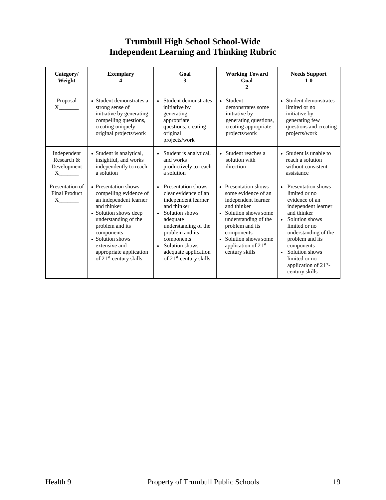## **Trumbull High School School-Wide Independent Learning and Thinking Rubric**

| Category/<br>Weight                                           | <b>Exemplary</b>                                                                                                                                                                                                                                                                 | Goal<br>3                                                                                                                                                                                                                                                                  | <b>Working Toward</b><br>Goal<br>$\overline{c}$                                                                                                                                                                                                     | <b>Needs Support</b><br>$1 - 0$                                                                                                                                                                                                                                               |
|---------------------------------------------------------------|----------------------------------------------------------------------------------------------------------------------------------------------------------------------------------------------------------------------------------------------------------------------------------|----------------------------------------------------------------------------------------------------------------------------------------------------------------------------------------------------------------------------------------------------------------------------|-----------------------------------------------------------------------------------------------------------------------------------------------------------------------------------------------------------------------------------------------------|-------------------------------------------------------------------------------------------------------------------------------------------------------------------------------------------------------------------------------------------------------------------------------|
| Proposal<br>$X \sim$                                          | • Student demonstrates a<br>strong sense of<br>initiative by generating<br>compelling questions,<br>creating uniquely<br>original projects/work                                                                                                                                  | • Student demonstrates<br>initiative by<br>generating<br>appropriate<br>questions, creating<br>original<br>projects/work                                                                                                                                                   | • Student<br>demonstrates some<br>initiative by<br>generating questions,<br>creating appropriate<br>projects/work                                                                                                                                   | • Student demonstrates<br>limited or no<br>initiative by<br>generating few<br>questions and creating<br>projects/work                                                                                                                                                         |
| Independent<br>Research &<br>Development<br>$X \qquad \qquad$ | • Student is analytical,<br>insightful, and works<br>independently to reach<br>a solution                                                                                                                                                                                        | • Student is analytical,<br>and works<br>productively to reach<br>a solution                                                                                                                                                                                               | • Student reaches a<br>solution with<br>direction                                                                                                                                                                                                   | • Student is unable to<br>reach a solution<br>without consistent<br>assistance                                                                                                                                                                                                |
| Presentation of<br><b>Final Product</b><br>$X \sim$           | • Presentation shows<br>compelling evidence of<br>an independent learner<br>and thinker<br>• Solution shows deep<br>understanding of the<br>problem and its<br>components<br>• Solution shows<br>extensive and<br>appropriate application<br>of 21 <sup>st</sup> -century skills | • Presentation shows<br>clear evidence of an<br>independent learner<br>and thinker<br>Solution shows<br>$\bullet$<br>adequate<br>understanding of the<br>problem and its<br>components<br>Solution shows<br>$\bullet$<br>adequate application<br>of $21st$ -century skills | • Presentation shows<br>some evidence of an<br>independent learner<br>and thinker<br>• Solution shows some<br>understanding of the<br>problem and its<br>components<br>• Solution shows some<br>application of 21 <sup>st</sup> -<br>century skills | • Presentation shows<br>limited or no<br>evidence of an<br>independent learner<br>and thinker<br>• Solution shows<br>limited or no<br>understanding of the<br>problem and its<br>components<br>• Solution shows<br>limited or no<br>application of $21st$ -<br>century skills |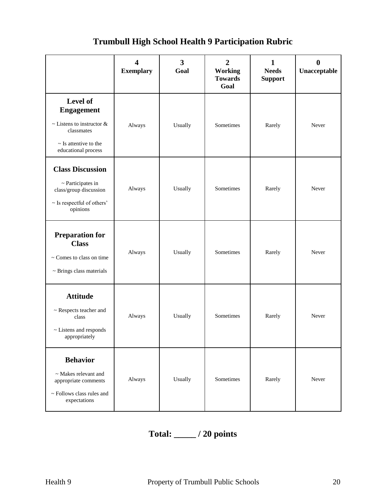#### **4 Exemplary 3 Goal 2 Working Towards Goal 1 Needs Support 0 Unacceptable Level of Engagement**  $\sim$  Listens to instructor  $\&$ classmates ~ Is attentive to the educational process Always Usually Sometimes Rarely Never **Class Discussion** ~ Participates in class/group discussion ~ Is respectful of others' opinions Always Usually Sometimes Rarely Never **Preparation for Class** ~ Comes to class on time  $\sim$  Brings class materials Always Usually Sometimes Rarely Never **Attitude** ~ Respects teacher and class ~ Listens and responds appropriately Always Usually Sometimes Rarely Never **Behavior** ~ Makes relevant and appropriate comments ~ Follows class rules and expectations Always Usually Sometimes Rarely Never

## **Trumbull High School Health 9 Participation Rubric**

## **Total: \_\_\_\_\_ / 20 points**